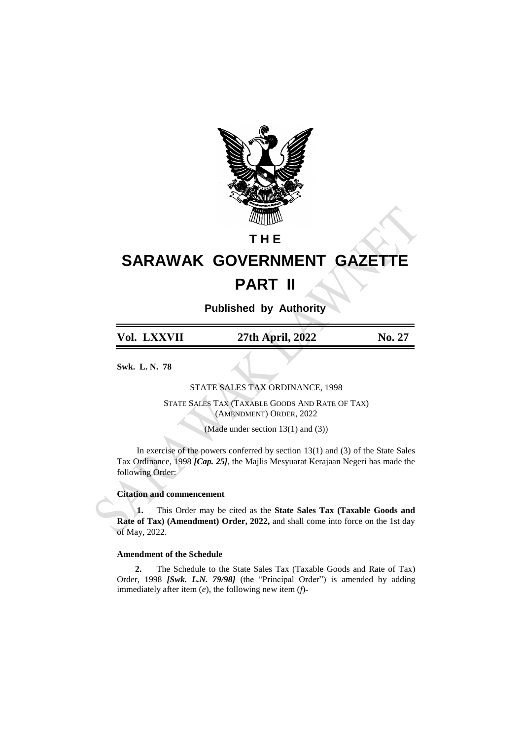

## **T H E**

# **SARAWAK GOVERNMENT GAZETTE PART II**

**Published by Authority**

| Vol. LXXVII | 27th April, 2022 | No. 27 |
|-------------|------------------|--------|
|-------------|------------------|--------|

**Swk. L. N. 78**

STATE SALES TAX ORDINANCE, 1998

STATE SALES TAX (TAXABLE GOODS AND RATE OF TAX) (AMENDMENT) ORDER, 2022

(Made under section 13(1) and (3))

In exercise of the powers conferred by section  $13(1)$  and  $(3)$  of the State Sales Tax Ordinance, 1998 *[Cap. 25]*, the Majlis Mesyuarat Kerajaan Negeri has made the following Order:

### **Citation and commencement**

**1.** This Order may be cited as the **State Sales Tax (Taxable Goods and Rate of Tax) (Amendment) Order, 2022,** and shall come into force on the 1st day of May, 2022.

### **Amendment of the Schedule**

**2.** The Schedule to the State Sales Tax (Taxable Goods and Rate of Tax) Order, 1998 *[Swk. L.N. 79/98]* (the "Principal Order") is amended by adding immediately after item  $(e)$ , the following new item  $(f)$ -